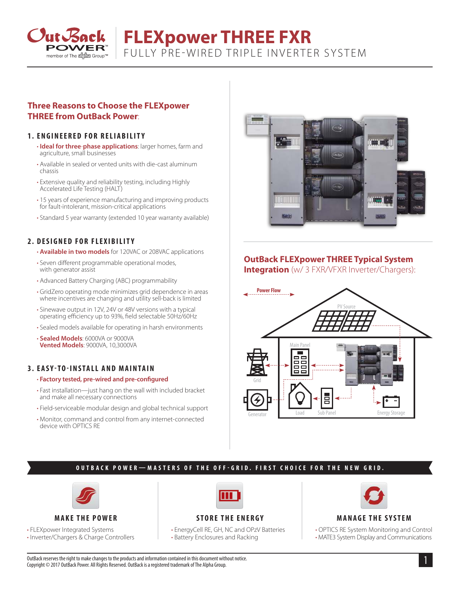

# **FLEXpower THREE FXR** FULLY PRE-WIRED TRIPLE INVERTER SYSTEM

# **Three Reasons to Choose the FLEXpower THREE from OutBack Power**:

### **1. ENGINEERED FOR RELIABILITY**

- **Ideal for three**-**phase applications**: larger homes, farm and agriculture, small businesses
- Available in sealed or vented units with die-cast aluminum chassis
- Extensive quality and reliability testing, including Highly Accelerated Life Testing (HALT)
- 15 years of experience manufacturing and improving products for fault-intolerant, mission-critical applications
- Standard 5 year warranty (extended 10 year warranty available)

### **2. DESIGNED FOR FLEXIBILITY**

- **Available in two models** for 120VAC or 208VAC applications
- Seven different programmable operational modes, with generator assist
- Advanced Battery Charging (ABC) programmability
- GridZero operating mode minimizes grid dependence in areas where incentives are changing and utility sell-back is limited
- Sinewave output in 12V, 24V or 48V versions with a typical operating efficiency up to 93%, field selectable 50Hz/60Hz
- Sealed models available for operating in harsh environments

• **Sealed Models**: 6000VA or 9000VA **Vented Models**: 9000VA, 10,3000VA

### **3 . EASY-TO-INSTALL AND MAINTAIN**

#### • **Factory tested, pre-wired and pre-configured**

- Fast installation—just hang on the wall with included bracket and make all necessary connections
- Field-serviceable modular design and global technical support
- Monitor, command and control from any internet-connected device with OPTICS RE



# **OutBack FLEXpower THREE Typical System**

**Integration** (w/ 3 FXR/VFXR Inverter/Chargers):



### **OUTBACK POWER—MASTERS OF THE OFF-GRID. FIRST CHOICE FOR THE NEW GRID.**



**MAKE THE POWER**

• FLEXpower Integrated Systems

• Inverter/Chargers & Charge Controllers



## **STORE THE ENERGY**

• EnergyCell RE, GH, NC and OPzV Batteries • Battery Enclosures and Racking



#### **MANAGE THE SYSTEM**

• OPTICS RE System Monitoring and Control • MATE3 System Display and Communications

OutBack reserves the right to make changes to the products and information contained in this document without notice. Copyright © 2017 OutBack Power. All Rights Reserved. OutBack is a registered trademark of The Alpha Group.